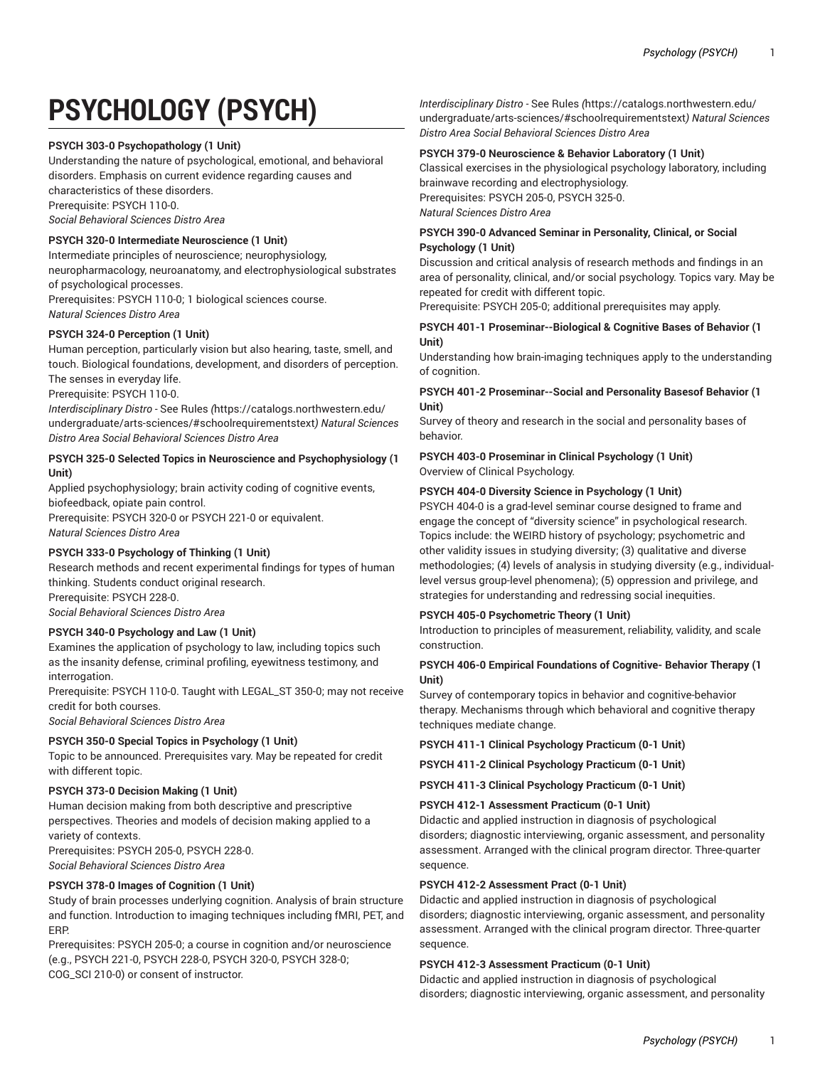# **PSYCHOLOGY (PSYCH)**

## **PSYCH 303-0 Psychopathology (1 Unit)**

Understanding the nature of psychological, emotional, and behavioral disorders. Emphasis on current evidence regarding causes and characteristics of these disorders.

Prerequisite: PSYCH 110-0.

*Social Behavioral Sciences Distro Area*

## **PSYCH 320-0 Intermediate Neuroscience (1 Unit)**

Intermediate principles of neuroscience; neurophysiology, neuropharmacology, neuroanatomy, and electrophysiological substrates

of psychological processes.

Prerequisites: PSYCH 110-0; 1 biological sciences course. *Natural Sciences Distro Area*

## **PSYCH 324-0 Perception (1 Unit)**

Human perception, particularly vision but also hearing, taste, smell, and touch. Biological foundations, development, and disorders of perception. The senses in everyday life.

Prerequisite: PSYCH 110-0.

*Interdisciplinary Distro -* [See Rules](https://catalogs.northwestern.edu/undergraduate/arts-sciences/#schoolrequirementstext) *(*[https://catalogs.northwestern.edu/](https://catalogs.northwestern.edu/undergraduate/arts-sciences/#schoolrequirementstext) [undergraduate/arts-sciences/#schoolrequirementstext](https://catalogs.northwestern.edu/undergraduate/arts-sciences/#schoolrequirementstext)*) Natural Sciences Distro Area Social Behavioral Sciences Distro Area*

## **PSYCH 325-0 Selected Topics in Neuroscience and Psychophysiology (1 Unit)**

Applied psychophysiology; brain activity coding of cognitive events, biofeedback, opiate pain control.

Prerequisite: PSYCH 320-0 or PSYCH 221-0 or equivalent. *Natural Sciences Distro Area*

## **PSYCH 333-0 Psychology of Thinking (1 Unit)**

Research methods and recent experimental findings for types of human thinking. Students conduct original research.

Prerequisite: PSYCH 228-0.

*Social Behavioral Sciences Distro Area*

## **PSYCH 340-0 Psychology and Law (1 Unit)**

Examines the application of psychology to law, including topics such as the insanity defense, criminal profiling, eyewitness testimony, and interrogation.

Prerequisite: PSYCH 110-0. Taught with LEGAL\_ST 350-0; may not receive credit for both courses.

*Social Behavioral Sciences Distro Area*

## **PSYCH 350-0 Special Topics in Psychology (1 Unit)**

Topic to be announced. Prerequisites vary. May be repeated for credit with different topic.

## **PSYCH 373-0 Decision Making (1 Unit)**

Human decision making from both descriptive and prescriptive perspectives. Theories and models of decision making applied to a variety of contexts.

Prerequisites: PSYCH 205-0, PSYCH 228-0. *Social Behavioral Sciences Distro Area*

## **PSYCH 378-0 Images of Cognition (1 Unit)**

Study of brain processes underlying cognition. Analysis of brain structure and function. Introduction to imaging techniques including fMRI, PET, and ERP.

Prerequisites: PSYCH 205-0; a course in cognition and/or neuroscience (e.g., PSYCH 221-0, PSYCH 228-0, PSYCH 320-0, PSYCH 328-0; COG\_SCI 210-0) or consent of instructor.

*Interdisciplinary Distro -* [See Rules](https://catalogs.northwestern.edu/undergraduate/arts-sciences/#schoolrequirementstext) *(*[https://catalogs.northwestern.edu/](https://catalogs.northwestern.edu/undergraduate/arts-sciences/#schoolrequirementstext) [undergraduate/arts-sciences/#schoolrequirementstext](https://catalogs.northwestern.edu/undergraduate/arts-sciences/#schoolrequirementstext)*) Natural Sciences Distro Area Social Behavioral Sciences Distro Area*

## **PSYCH 379-0 Neuroscience & Behavior Laboratory (1 Unit)**

Classical exercises in the physiological psychology laboratory, including brainwave recording and electrophysiology. Prerequisites: PSYCH 205-0, PSYCH 325-0. *Natural Sciences Distro Area*

## **PSYCH 390-0 Advanced Seminar in Personality, Clinical, or Social Psychology (1 Unit)**

Discussion and critical analysis of research methods and findings in an area of personality, clinical, and/or social psychology. Topics vary. May be repeated for credit with different topic.

Prerequisite: PSYCH 205-0; additional prerequisites may apply.

## **PSYCH 401-1 Proseminar--Biological & Cognitive Bases of Behavior (1 Unit)**

Understanding how brain-imaging techniques apply to the understanding of cognition.

## **PSYCH 401-2 Proseminar--Social and Personality Basesof Behavior (1 Unit)**

Survey of theory and research in the social and personality bases of behavior.

## **PSYCH 403-0 Proseminar in Clinical Psychology (1 Unit)** Overview of Clinical Psychology.

## **PSYCH 404-0 Diversity Science in Psychology (1 Unit)**

PSYCH 404-0 is a grad-level seminar course designed to frame and engage the concept of "diversity science" in psychological research. Topics include: the WEIRD history of psychology; psychometric and other validity issues in studying diversity; (3) qualitative and diverse methodologies; (4) levels of analysis in studying diversity (e.g., individuallevel versus group-level phenomena); (5) oppression and privilege, and strategies for understanding and redressing social inequities.

## **PSYCH 405-0 Psychometric Theory (1 Unit)**

Introduction to principles of measurement, reliability, validity, and scale construction.

## **PSYCH 406-0 Empirical Foundations of Cognitive- Behavior Therapy (1 Unit)**

Survey of contemporary topics in behavior and cognitive-behavior therapy. Mechanisms through which behavioral and cognitive therapy techniques mediate change.

## **PSYCH 411-1 Clinical Psychology Practicum (0-1 Unit)**

**PSYCH 411-2 Clinical Psychology Practicum (0-1 Unit)**

**PSYCH 411-3 Clinical Psychology Practicum (0-1 Unit)**

## **PSYCH 412-1 Assessment Practicum (0-1 Unit)**

Didactic and applied instruction in diagnosis of psychological disorders; diagnostic interviewing, organic assessment, and personality assessment. Arranged with the clinical program director. Three-quarter sequence.

## **PSYCH 412-2 Assessment Pract (0-1 Unit)**

Didactic and applied instruction in diagnosis of psychological disorders; diagnostic interviewing, organic assessment, and personality assessment. Arranged with the clinical program director. Three-quarter sequence.

## **PSYCH 412-3 Assessment Practicum (0-1 Unit)**

Didactic and applied instruction in diagnosis of psychological disorders; diagnostic interviewing, organic assessment, and personality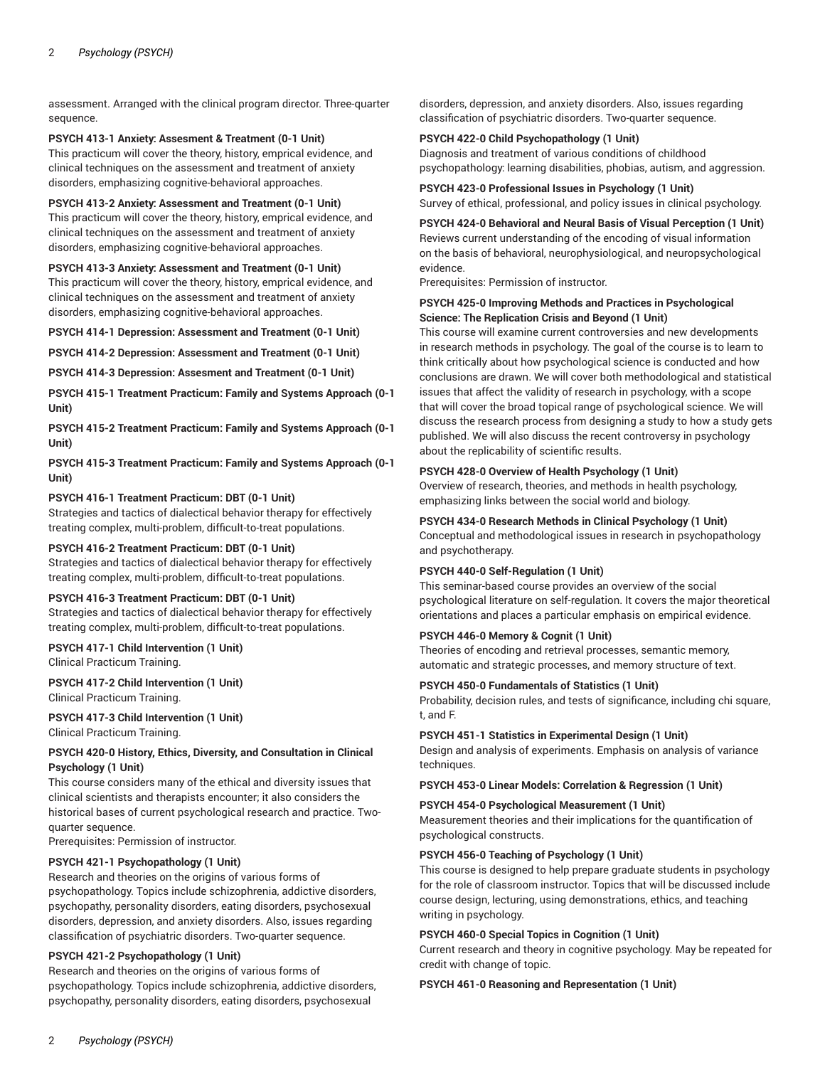assessment. Arranged with the clinical program director. Three-quarter sequence.

## **PSYCH 413-1 Anxiety: Assesment & Treatment (0-1 Unit)**

This practicum will cover the theory, history, emprical evidence, and clinical techniques on the assessment and treatment of anxiety disorders, emphasizing cognitive-behavioral approaches.

## **PSYCH 413-2 Anxiety: Assessment and Treatment (0-1 Unit)**

This practicum will cover the theory, history, emprical evidence, and clinical techniques on the assessment and treatment of anxiety disorders, emphasizing cognitive-behavioral approaches.

## **PSYCH 413-3 Anxiety: Assessment and Treatment (0-1 Unit)**

This practicum will cover the theory, history, emprical evidence, and clinical techniques on the assessment and treatment of anxiety disorders, emphasizing cognitive-behavioral approaches.

## **PSYCH 414-1 Depression: Assessment and Treatment (0-1 Unit)**

**PSYCH 414-2 Depression: Assessment and Treatment (0-1 Unit)**

**PSYCH 414-3 Depression: Assesment and Treatment (0-1 Unit)**

**PSYCH 415-1 Treatment Practicum: Family and Systems Approach (0-1 Unit)** 

**PSYCH 415-2 Treatment Practicum: Family and Systems Approach (0-1 Unit)** 

## **PSYCH 415-3 Treatment Practicum: Family and Systems Approach (0-1 Unit)**

## **PSYCH 416-1 Treatment Practicum: DBT (0-1 Unit)**

Strategies and tactics of dialectical behavior therapy for effectively treating complex, multi-problem, difficult-to-treat populations.

## **PSYCH 416-2 Treatment Practicum: DBT (0-1 Unit)**

Strategies and tactics of dialectical behavior therapy for effectively treating complex, multi-problem, difficult-to-treat populations.

## **PSYCH 416-3 Treatment Practicum: DBT (0-1 Unit)**

Strategies and tactics of dialectical behavior therapy for effectively treating complex, multi-problem, difficult-to-treat populations.

## **PSYCH 417-1 Child Intervention (1 Unit)**

Clinical Practicum Training.

**PSYCH 417-2 Child Intervention (1 Unit)** Clinical Practicum Training.

**PSYCH 417-3 Child Intervention (1 Unit)** Clinical Practicum Training.

## **PSYCH 420-0 History, Ethics, Diversity, and Consultation in Clinical Psychology (1 Unit)**

This course considers many of the ethical and diversity issues that clinical scientists and therapists encounter; it also considers the historical bases of current psychological research and practice. Twoquarter sequence.

Prerequisites: Permission of instructor.

## **PSYCH 421-1 Psychopathology (1 Unit)**

Research and theories on the origins of various forms of psychopathology. Topics include schizophrenia, addictive disorders, psychopathy, personality disorders, eating disorders, psychosexual disorders, depression, and anxiety disorders. Also, issues regarding classification of psychiatric disorders. Two-quarter sequence.

## **PSYCH 421-2 Psychopathology (1 Unit)**

Research and theories on the origins of various forms of psychopathology. Topics include schizophrenia, addictive disorders, psychopathy, personality disorders, eating disorders, psychosexual

disorders, depression, and anxiety disorders. Also, issues regarding classification of psychiatric disorders. Two-quarter sequence.

## **PSYCH 422-0 Child Psychopathology (1 Unit)**

Diagnosis and treatment of various conditions of childhood psychopathology: learning disabilities, phobias, autism, and aggression.

**PSYCH 423-0 Professional Issues in Psychology (1 Unit)** Survey of ethical, professional, and policy issues in clinical psychology.

## **PSYCH 424-0 Behavioral and Neural Basis of Visual Perception (1 Unit)** Reviews current understanding of the encoding of visual information on the basis of behavioral, neurophysiological, and neuropsychological evidence.

Prerequisites: Permission of instructor.

## **PSYCH 425-0 Improving Methods and Practices in Psychological Science: The Replication Crisis and Beyond (1 Unit)**

This course will examine current controversies and new developments in research methods in psychology. The goal of the course is to learn to think critically about how psychological science is conducted and how conclusions are drawn. We will cover both methodological and statistical issues that affect the validity of research in psychology, with a scope that will cover the broad topical range of psychological science. We will discuss the research process from designing a study to how a study gets published. We will also discuss the recent controversy in psychology about the replicability of scientific results.

## **PSYCH 428-0 Overview of Health Psychology (1 Unit)**

Overview of research, theories, and methods in health psychology, emphasizing links between the social world and biology.

# **PSYCH 434-0 Research Methods in Clinical Psychology (1 Unit)**

Conceptual and methodological issues in research in psychopathology and psychotherapy.

## **PSYCH 440-0 Self-Regulation (1 Unit)**

This seminar-based course provides an overview of the social psychological literature on self-regulation. It covers the major theoretical orientations and places a particular emphasis on empirical evidence.

## **PSYCH 446-0 Memory & Cognit (1 Unit)**

Theories of encoding and retrieval processes, semantic memory, automatic and strategic processes, and memory structure of text.

## **PSYCH 450-0 Fundamentals of Statistics (1 Unit)**

Probability, decision rules, and tests of significance, including chi square, t, and F.

## **PSYCH 451-1 Statistics in Experimental Design (1 Unit)**

Design and analysis of experiments. Emphasis on analysis of variance techniques.

## **PSYCH 453-0 Linear Models: Correlation & Regression (1 Unit)**

## **PSYCH 454-0 Psychological Measurement (1 Unit)**

Measurement theories and their implications for the quantification of psychological constructs.

## **PSYCH 456-0 Teaching of Psychology (1 Unit)**

This course is designed to help prepare graduate students in psychology for the role of classroom instructor. Topics that will be discussed include course design, lecturing, using demonstrations, ethics, and teaching writing in psychology.

## **PSYCH 460-0 Special Topics in Cognition (1 Unit)**

Current research and theory in cognitive psychology. May be repeated for credit with change of topic.

## **PSYCH 461-0 Reasoning and Representation (1 Unit)**